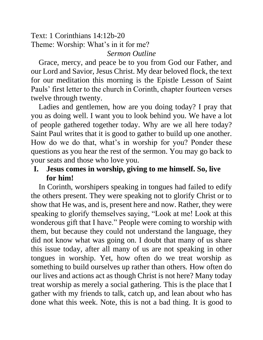Text: 1 Corinthians 14:12b-20 Theme: Worship: What's in it for me? *Sermon Outline*

Grace, mercy, and peace be to you from God our Father, and our Lord and Savior, Jesus Christ. My dear beloved flock, the text for our meditation this morning is the Epistle Lesson of Saint Pauls' first letter to the church in Corinth, chapter fourteen verses twelve through twenty.

Ladies and gentlemen, how are you doing today? I pray that you as doing well. I want you to look behind you. We have a lot of people gathered together today. Why are we all here today? Saint Paul writes that it is good to gather to build up one another. How do we do that, what's in worship for you? Ponder these questions as you hear the rest of the sermon. You may go back to your seats and those who love you.

## **I. Jesus comes in worship, giving to me himself. So, live for him!**

In Corinth, worshipers speaking in tongues had failed to edify the others present. They were speaking not to glorify Christ or to show that He was, and is, present here and now. Rather, they were speaking to glorify themselves saying, "Look at me! Look at this wonderous gift that I have." People were coming to worship with them, but because they could not understand the language, they did not know what was going on. I doubt that many of us share this issue today, after all many of us are not speaking in other tongues in worship. Yet, how often do we treat worship as something to build ourselves up rather than others. How often do our lives and actions act as though Christ is not here? Many today treat worship as merely a social gathering. This is the place that I gather with my friends to talk, catch up, and lean about who has done what this week. Note, this is not a bad thing. It is good to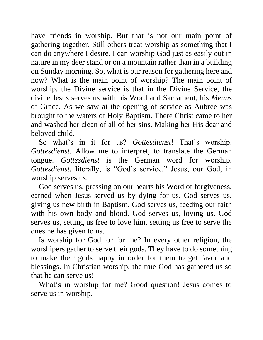have friends in worship. But that is not our main point of gathering together. Still others treat worship as something that I can do anywhere I desire. I can worship God just as easily out in nature in my deer stand or on a mountain rather than in a building on Sunday morning. So, what is our reason for gathering here and now? What is the main point of worship? The main point of worship, the Divine service is that in the Divine Service, the divine Jesus serves us with his Word and Sacrament, his *Means* of Grace. As we saw at the opening of service as Aubree was brought to the waters of Holy Baptism. There Christ came to her and washed her clean of all of her sins. Making her His dear and beloved child.

So what's in it for us? *Gottesdienst*! That's worship. *Gottesdienst*. Allow me to interpret, to translate the German tongue. *Gottesdienst* is the German word for worship. *Gottesdienst*, literally, is "God's service." Jesus, our God, in worship serves us.

God serves us, pressing on our hearts his Word of forgiveness, earned when Jesus served us by dying for us. God serves us, giving us new birth in Baptism. God serves us, feeding our faith with his own body and blood. God serves us, loving us. God serves us, setting us free to love him, setting us free to serve the ones he has given to us.

Is worship for God, or for me? In every other religion, the worshipers gather to serve their gods. They have to do something to make their gods happy in order for them to get favor and blessings. In Christian worship, the true God has gathered us so that he can serve us!

What's in worship for me? Good question! Jesus comes to serve us in worship.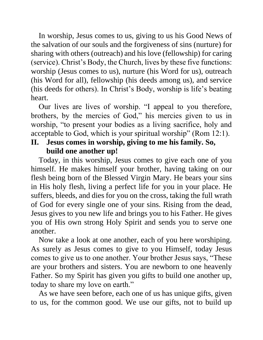In worship, Jesus comes to us, giving to us his Good News of the salvation of our souls and the forgiveness of sins (nurture) for sharing with others (outreach) and his love (fellowship) for caring (service). Christ's Body, the Church, lives by these five functions: worship (Jesus comes to us), nurture (his Word for us), outreach (his Word for all), fellowship (his deeds among us), and service (his deeds for others). In Christ's Body, worship is life's beating heart.

Our lives are lives of worship. "I appeal to you therefore, brothers, by the mercies of God," his mercies given to us in worship, "to present your bodies as a living sacrifice, holy and acceptable to God, which is your spiritual worship" (Rom 12:1).

## **II. Jesus comes in worship, giving to me his family. So, build one another up!**

Today, in this worship, Jesus comes to give each one of you himself. He makes himself your brother, having taking on our flesh being born of the Blessed Virgin Mary. He bears your sins in His holy flesh, living a perfect life for you in your place. He suffers, bleeds, and dies for you on the cross, taking the full wrath of God for every single one of your sins. Rising from the dead, Jesus gives to you new life and brings you to his Father. He gives you of His own strong Holy Spirit and sends you to serve one another.

Now take a look at one another, each of you here worshiping. As surely as Jesus comes to give to you Himself, today Jesus comes to give us to one another. Your brother Jesus says, "These are your brothers and sisters. You are newborn to one heavenly Father. So my Spirit has given you gifts to build one another up, today to share my love on earth."

As we have seen before, each one of us has unique gifts, given to us, for the common good. We use our gifts, not to build up